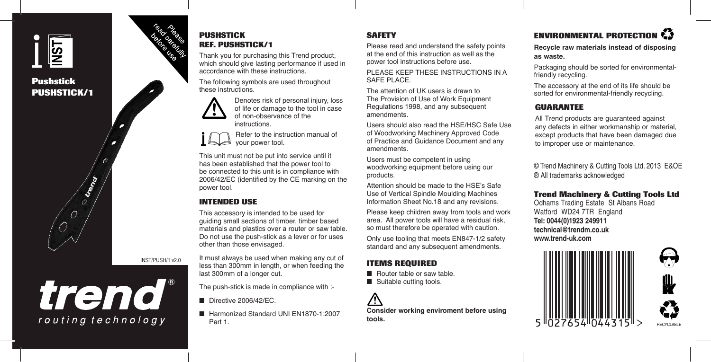# $\overline{\overline{\text{S1}}}$

**Pushstick PUSHSTICK/1**



### **PUSHSTICK REF. PUSHSTICK/1**

Thank you for purchasing this Trend product, which should give lasting performance if used in accordance with these instructions.

The following symbols are used throughout these instructions.

> Denotes risk of personal injury, loss of life or damage to the tool in case of non-observance of the instructions.

Refer to the instruction manual of your power tool.

This unit must not be put into service until it has been established that the power tool to be connected to this unit is in compliance with 2006/42/EC (identified by the CE marking on the power tool.

### **INTENDED USE**

last 300mm of a longer cut.

Directive 2006/42/EC.

Part 1.

This accessory is intended to be used for guiding small sections of timber, timber based materials and plastics over a router or saw table. Do not use the push-stick as a lever or for uses other than those envisaged.

It must always be used when making any cut of less than 300mm in length, or when feeding the

The push-stick is made in compliance with :-

■ Harmonized Standard UNI EN1870-1:2007

INST/PUSH/1 v2.0

trend® routing technology

### **SAFETY**

Please read and understand the safety points at the end of this instruction as well as the power tool instructions before use.

PLEASE KEEP THESE INSTRUCTIONS IN A SAFE PLACE.

The attention of UK users is drawn to The Provision of Use of Work Equipment Regulations 1998, and any subsequent amendments.

Users should also read the HSE/HSC Safe Use of Woodworking Machinery Approved Code of Practice and Guidance Document and any amendments.

Users must be competent in using woodworking equipment before using our products.

Attention should be made to the HSE's Safe Use of Vertical Spindle Moulding Machines Information Sheet No.18 and any revisions.

Please keep children away from tools and work area. All power tools will have a residual risk, so must therefore be operated with caution.

Only use tooling that meets EN847-1/2 safety standard and any subsequent amendments.

### **ITEMS REQUIRED**

- Router table or saw table.
- Suitable cutting tools.

**Consider working enviroment before using tools.**

# **ENVIRONMENTAL PROTECTION**

**Recycle raw materials instead of disposing as waste.**

Packaging should be sorted for environmentalfriendly recycling.

The accessory at the end of its life should be sorted for environmental-friendly recycling.

### **GUARANTEE**

All Trend products are guaranteed against any defects in either workmanship or material, except products that have been damaged due to improper use or maintenance.

© Trend Machinery & Cutting Tools Ltd. 2013 E&OE ® All trademarks acknowledged

### **Trend Machinery & Cutting Tools Ltd**

Odhams Trading Estate St Albans Road Watford WD24 7TR England **Tel: 0044(0)1923 249911 technical@trendm.co.uk www.trend-uk.com**



RECYCLABLE